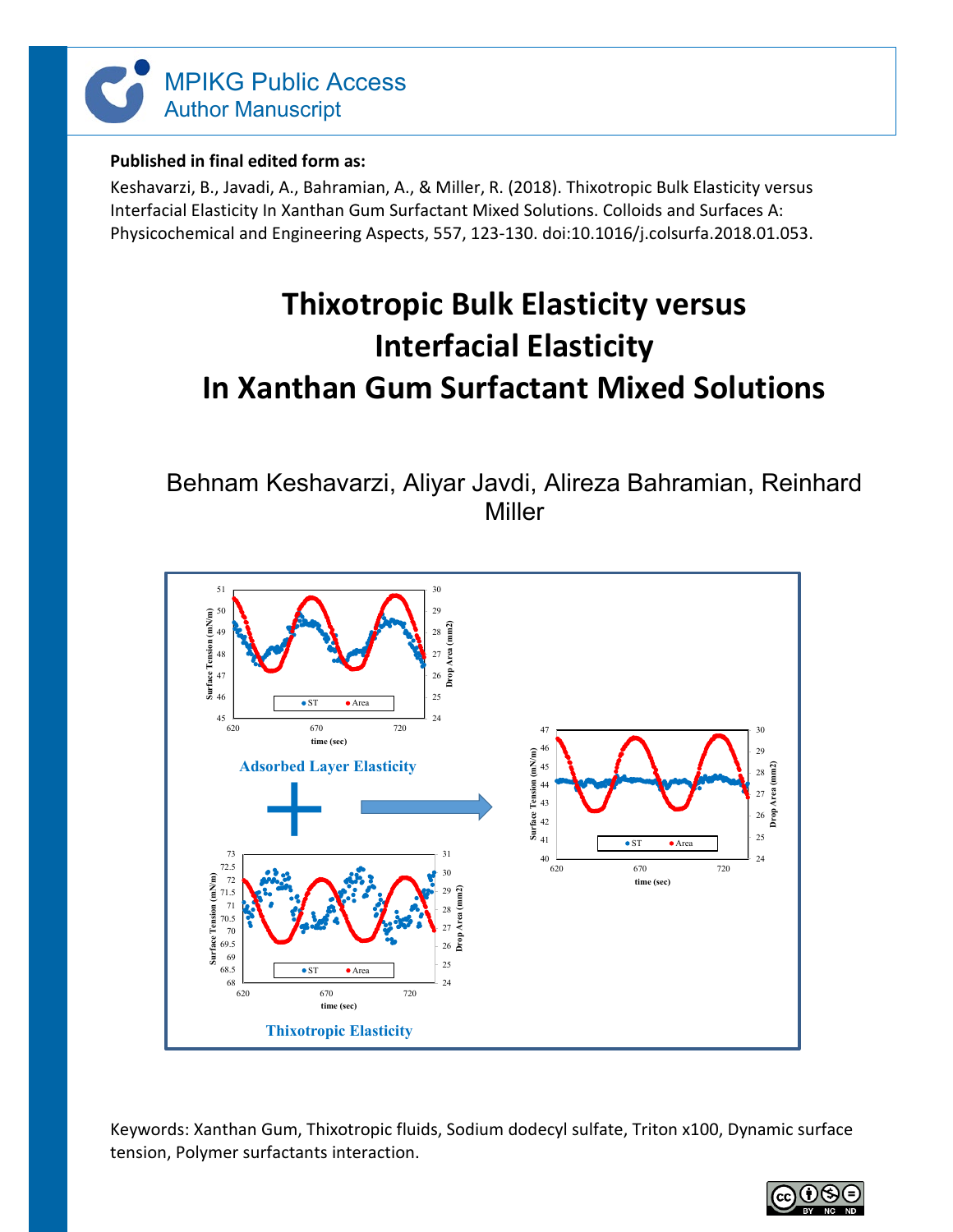

# **Published in final edited form as:**

Keshavarzi, B., Javadi, A., Bahramian, A., & Miller, R. (2018). Thixotropic Bulk Elasticity versus Interfacial Elasticity In Xanthan Gum Surfactant Mixed Solutions. Colloids and Surfaces A: Physicochemical and Engineering Aspects, 557, 123-130. doi:10.1016/j.colsurfa.2018.01.053.

# **Thixotropic Bulk Elasticity versus Interfacial Elasticity In Xanthan Gum Surfactant Mixed Solutions**

Behnam Keshavarzi, Aliyar Javdi, Alireza Bahramian, Reinhard Miller



Keywords: Xanthan Gum, Thixotropic fluids, Sodium dodecyl sulfate, Triton x100, Dynamic surface tension, Polymer surfactants interaction.

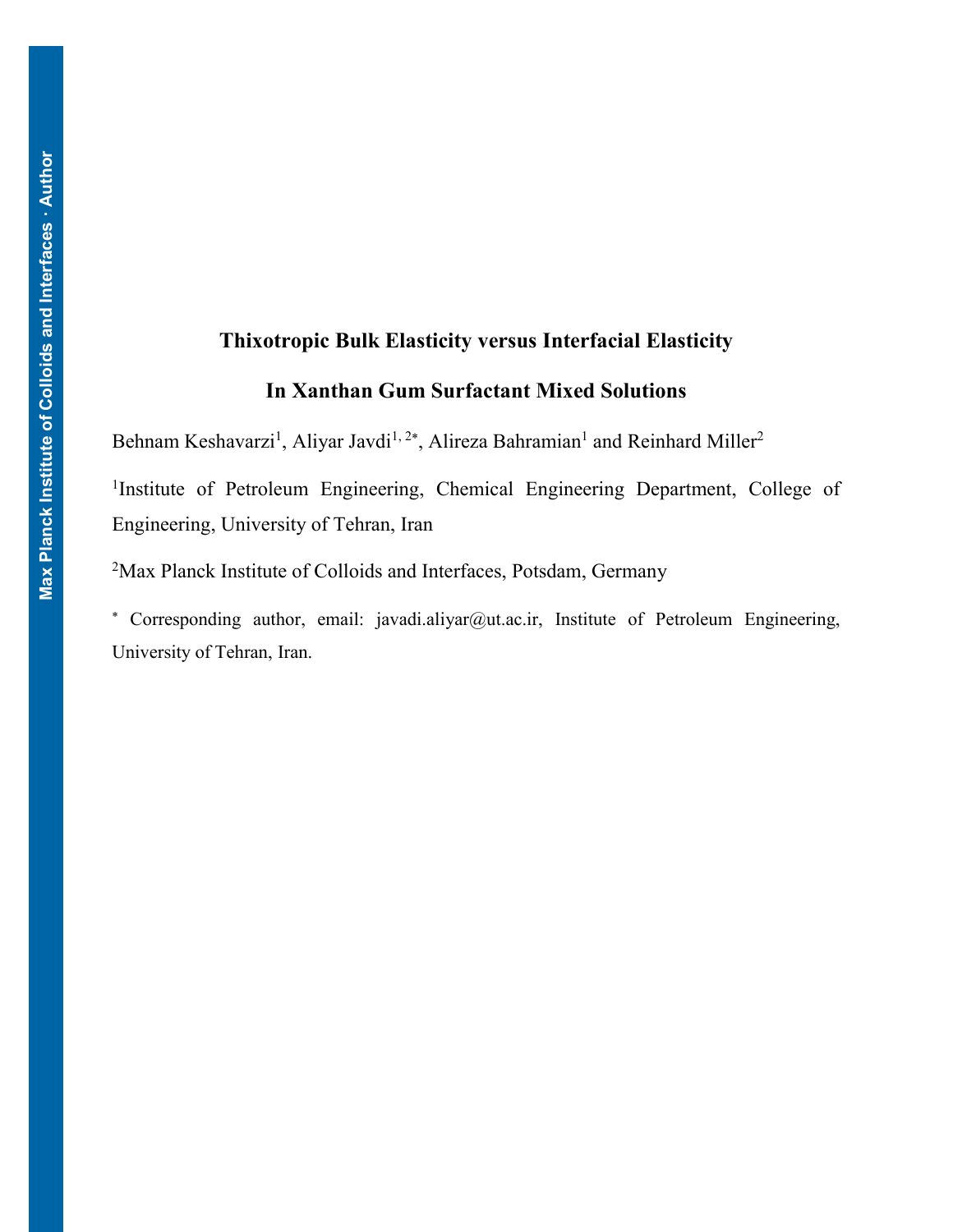# **Thixotropic Bulk Elasticity versus Interfacial Elasticity In Xanthan Gum Surfactant Mixed Solutions**

Behnam Keshavarzi<sup>1</sup>, Aliyar Javdi<sup>1, 2\*</sup>, Alireza Bahramian<sup>1</sup> and Reinhard Miller<sup>2</sup>

<sup>1</sup>Institute of Petroleum Engineering, Chemical Engineering Department, College of Engineering, University of Tehran, Iran

<sup>2</sup>Max Planck Institute of Colloids and Interfaces, Potsdam, Germany

\* Corresponding author, email: javadi.aliyar@ut.ac.ir, Institute of Petroleum Engineering, University of Tehran, Iran.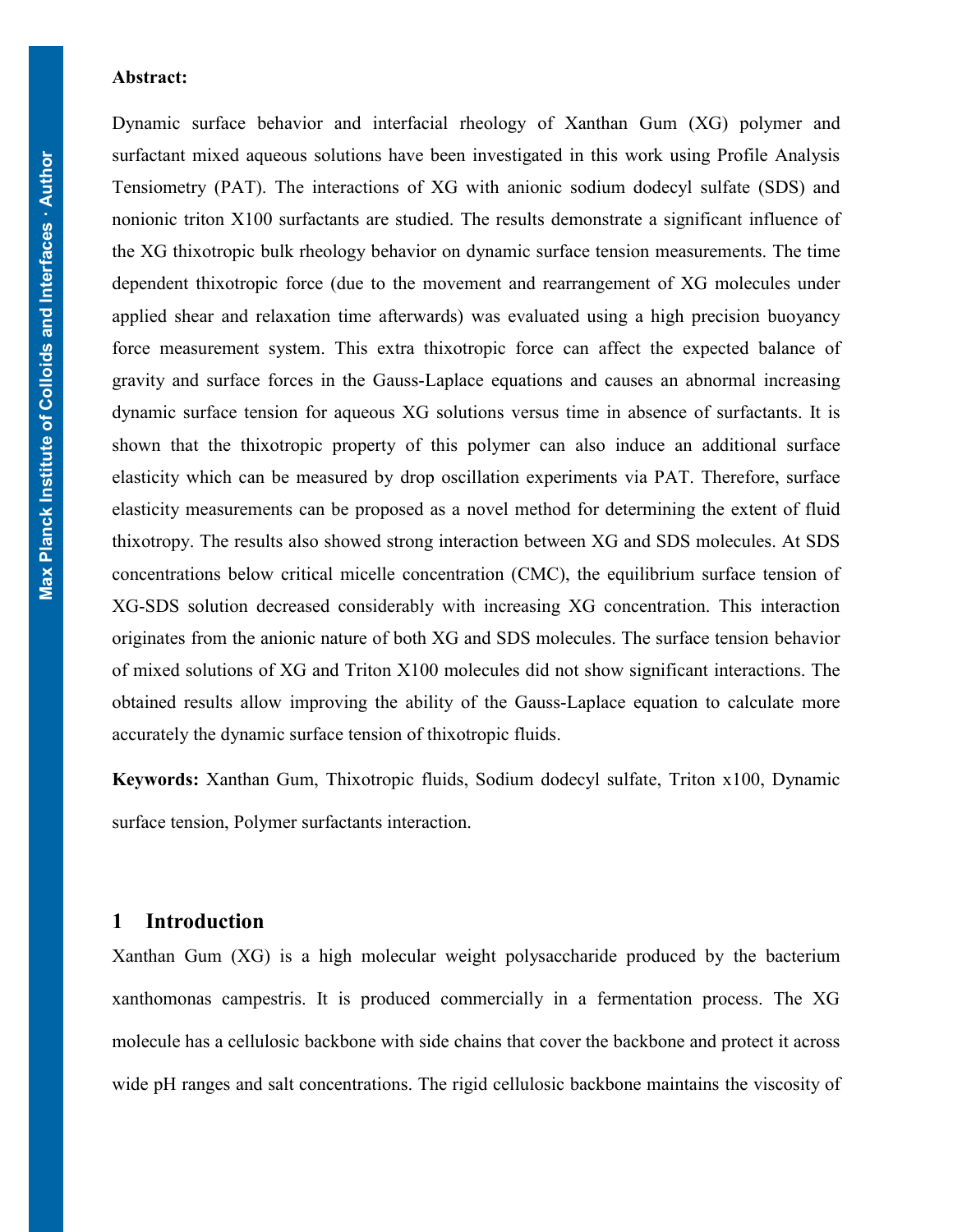#### **Abstract:**

 Tensiometry (PAT). The interactions of XG with anionic sodium dodecyl sulfate (SDS) and Dynamic surface behavior and interfacial rheology of Xanthan Gum (XG) polymer and surfactant mixed aqueous solutions have been investigated in this work using Profile Analysis nonionic triton X100 surfactants are studied. The results demonstrate a significant influence of the XG thixotropic bulk rheology behavior on dynamic surface tension measurements. The time dependent thixotropic force (due to the movement and rearrangement of XG molecules under applied shear and relaxation time afterwards) was evaluated using a high precision buoyancy force measurement system. This extra thixotropic force can affect the expected balance of gravity and surface forces in the Gauss-Laplace equations and causes an abnormal increasing dynamic surface tension for aqueous XG solutions versus time in absence of surfactants. It is shown that the thixotropic property of this polymer can also induce an additional surface elasticity which can be measured by drop oscillation experiments via PAT. Therefore, surface elasticity measurements can be proposed as a novel method for determining the extent of fluid thixotropy. The results also showed strong interaction between XG and SDS molecules. At SDS concentrations below critical micelle concentration (CMC), the equilibrium surface tension of XG-SDS solution decreased considerably with increasing XG concentration. This interaction originates from the anionic nature of both XG and SDS molecules. The surface tension behavior of mixed solutions of XG and Triton X100 molecules did not show significant interactions. The obtained results allow improving the ability of the Gauss-Laplace equation to calculate more accurately the dynamic surface tension of thixotropic fluids.

**Keywords:** Xanthan Gum, Thixotropic fluids, Sodium dodecyl sulfate, Triton x100, Dynamic surface tension, Polymer surfactants interaction.

# **1 Introduction**

Xanthan Gum (XG) is a high molecular weight polysaccharide produced by the bacterium xanthomonas campestris. It is produced commercially in a fermentation process. The XG molecule has a cellulosic backbone with side chains that cover the backbone and protect it across wide pH ranges and salt concentrations. The rigid cellulosic backbone maintains the viscosity of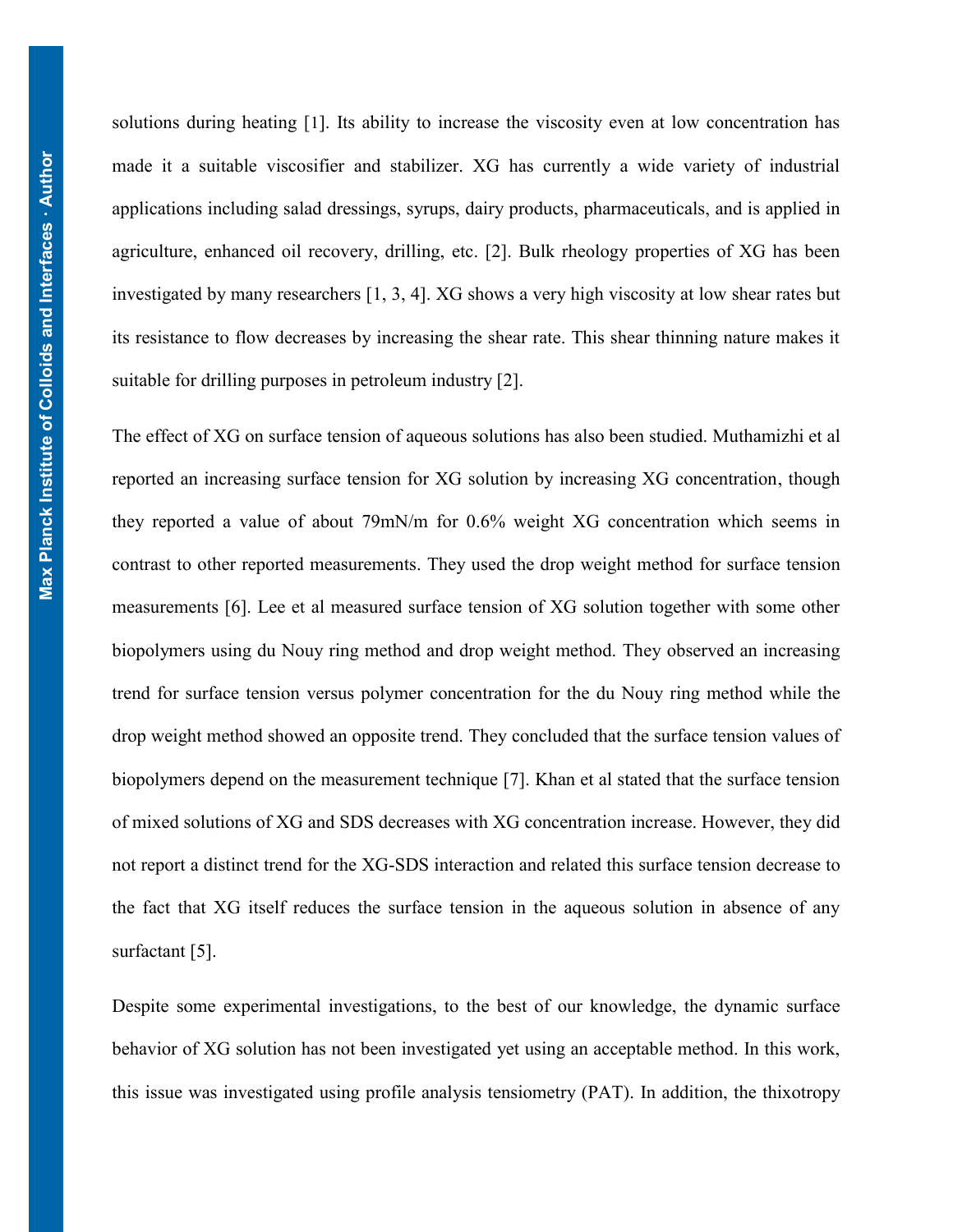solutions during heating [[1](#page-21-0)]. Its ability to increase the viscosity even at low concentration has made it a suitable viscosifier and stabilizer. XG has currently a wide variety of industrial applications including salad dressings, syrups, dairy products, pharmaceuticals, and is applied in agriculture, enhanced oil recovery, drilling, etc. [\[2\]](#page-21-1). Bulk rheology properties of XG has been investigated by many researchers [\[1,](#page-21-0) [3,](#page-21-2) [4\]](#page-21-3). XG shows a very high viscosity at low shear rates but its resistance to flow decreases by increasing the shear rate. This shear thinning nature makes it suitable for drilling purposes in petroleum industry [\[2\]](#page-21-1).

The effect of XG on surface tension of aqueous solutions has also been studied. Muthamizhi et al reported an increasing surface tension for XG solution by increasing XG concentration, though they reported a value of about 79mN/m for 0.6% weight XG concentration which seems in contrast to other reported measurements. They used the drop weight method for surface tension measurements [\[6\]](#page-21-4). Lee et al measured surface tension of XG solution together with some other biopolymers using du Nouy ring method and drop weight method. They observed an increasing trend for surface tension versus polymer concentration for the du Nouy ring method while the drop weight method showed an opposite trend. They concluded that the surface tension values of biopolymers depend on the measurement technique [\[7\]](#page-21-5). Khan et al stated that the surface tension of mixed solutions of XG and SDS decreases with XG concentration increase. However, they did not report a distinct trend for the XG-SDS interaction and related this surface tension decrease to the fact that XG itself reduces the surface tension in the aqueous solution in absence of any surfactant [5].

Despite some experimental investigations, to the best of our knowledge, the dynamic surface behavior of XG solution has not been investigated yet using an acceptable method. In this work, this issue was investigated using profile analysis tensiometry (PAT). In addition, the thixotropy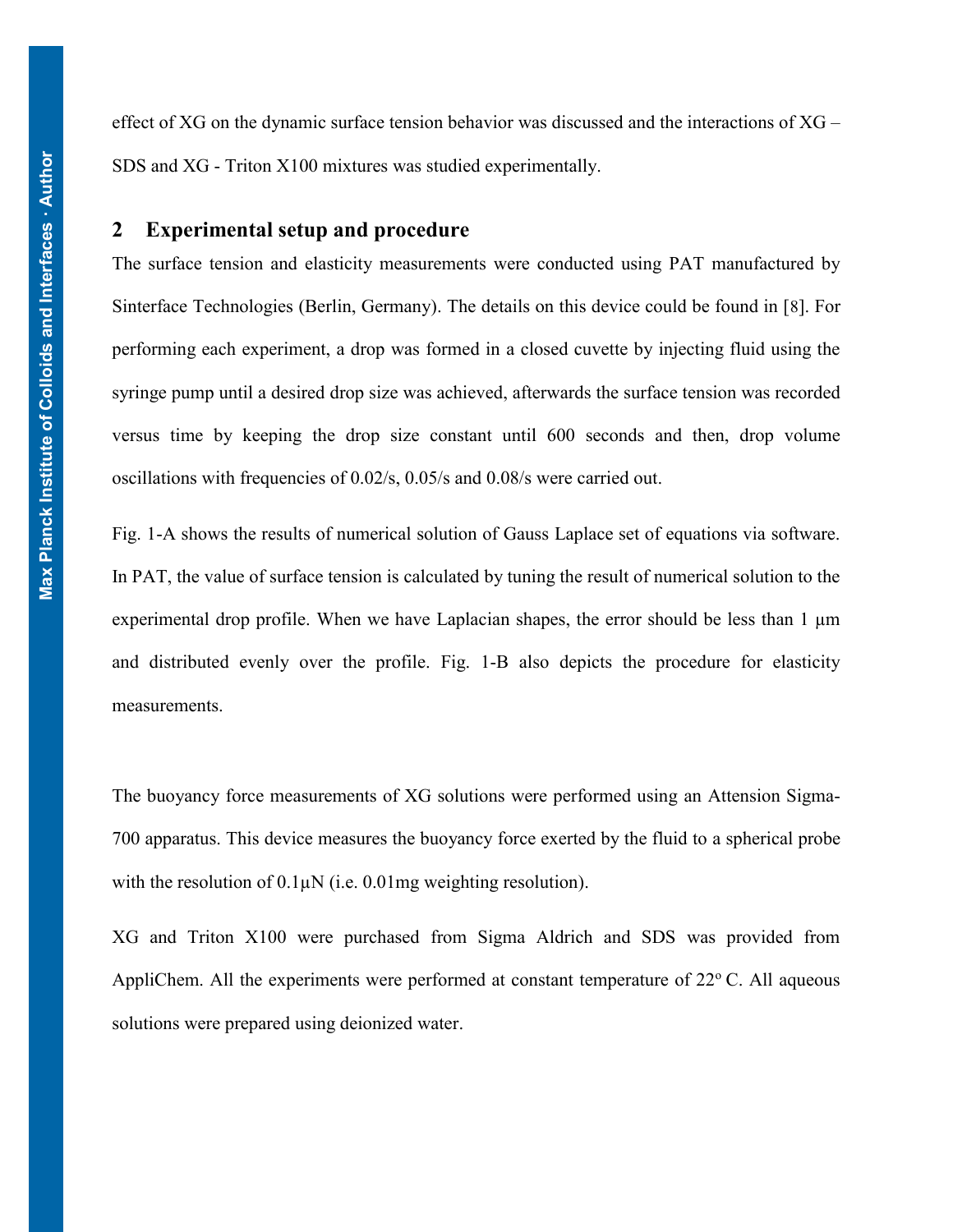effect of XG on the dynamic surface tension behavior was discussed and the interactions of XG – SDS and XG - Triton X100 mixtures was studied experimentally.

#### **2 Experimental setup and procedure**

The surface tension and elasticity measurements were conducted using PAT manufactured by Sinterface Technologies (Berlin, Germany). The details on this device could be found in [8]. For performing each experiment, a drop was formed in a closed cuvette by injecting fluid using the syringe pump until a desired drop size was achieved, afterwards the surface tension was recorded versus time by keeping the drop size constant until 600 seconds and then, drop volume oscillations with frequencies of 0.02/s, 0.05/s and 0.08/s were carried out.

[Fig. 1-](#page-5-0)A shows the results of numerical solution of Gauss Laplace set of equations via software. In PAT, the value of surface tension is calculated by tuning the result of numerical solution to the experimental drop profile. When we have Laplacian shapes, the error should be less than  $1 \mu m$ and distributed evenly over the profile. Fig. 1-B also depicts the procedure for elasticity measurements.

The buoyancy force measurements of XG solutions were performed using an Attension Sigma-700 apparatus. This device measures the buoyancy force exerted by the fluid to a spherical probe with the resolution of  $0.1\mu\text{N}$  (i.e.  $0.01\text{mg}$  weighting resolution).

XG and Triton X100 were purchased from Sigma Aldrich and SDS was provided from AppliChem. All the experiments were performed at constant temperature of  $22^{\circ}$  C. All aqueous solutions were prepared using deionized water.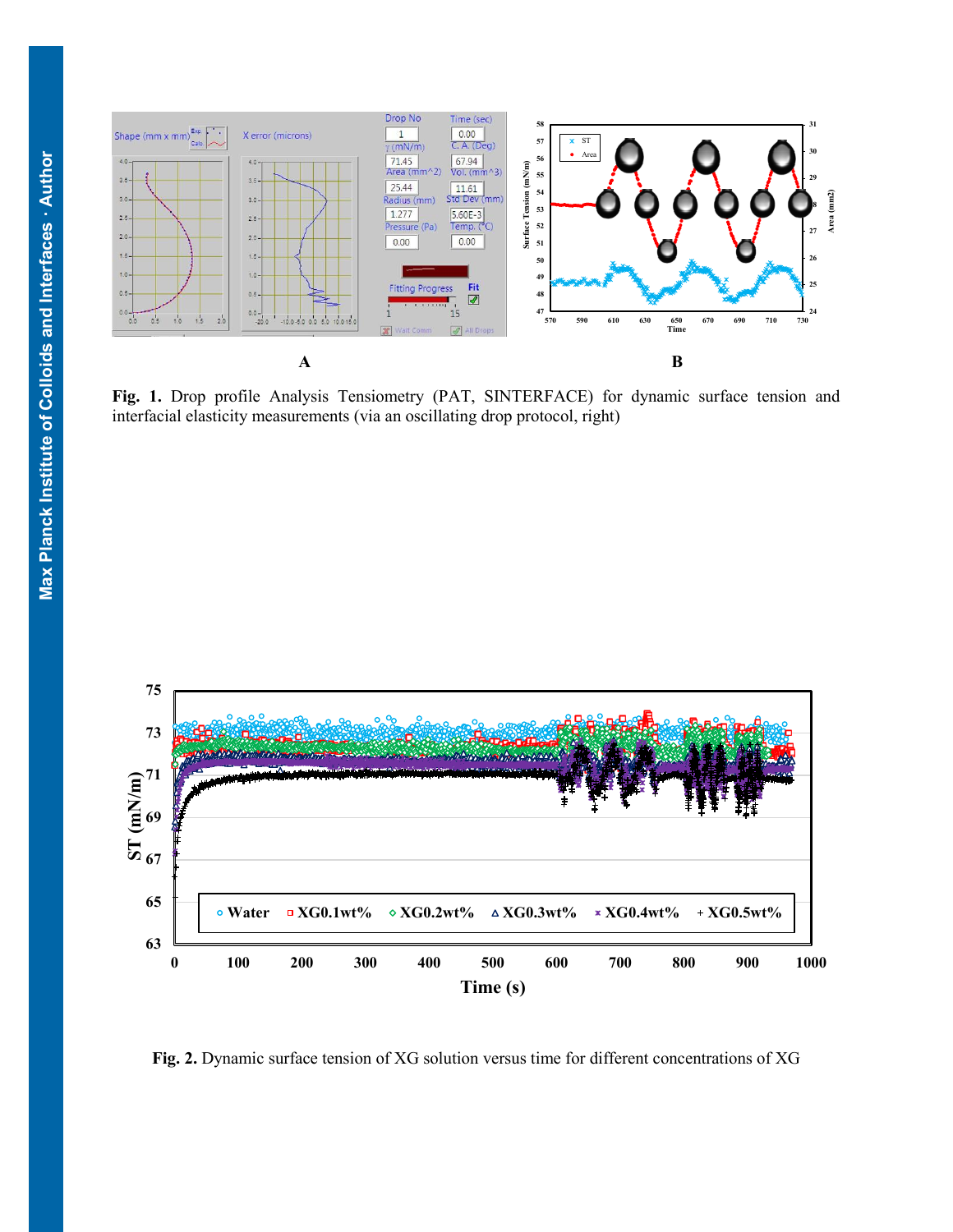

<span id="page-5-0"></span>**Fig. 1.** Drop profile Analysis Tensiometry (PAT, SINTERFACE) for dynamic surface tension and interfacial elasticity measurements (via an oscillating drop protocol, right)



**Fig. 2.** Dynamic surface tension of XG solution versus time for different concentrations of XG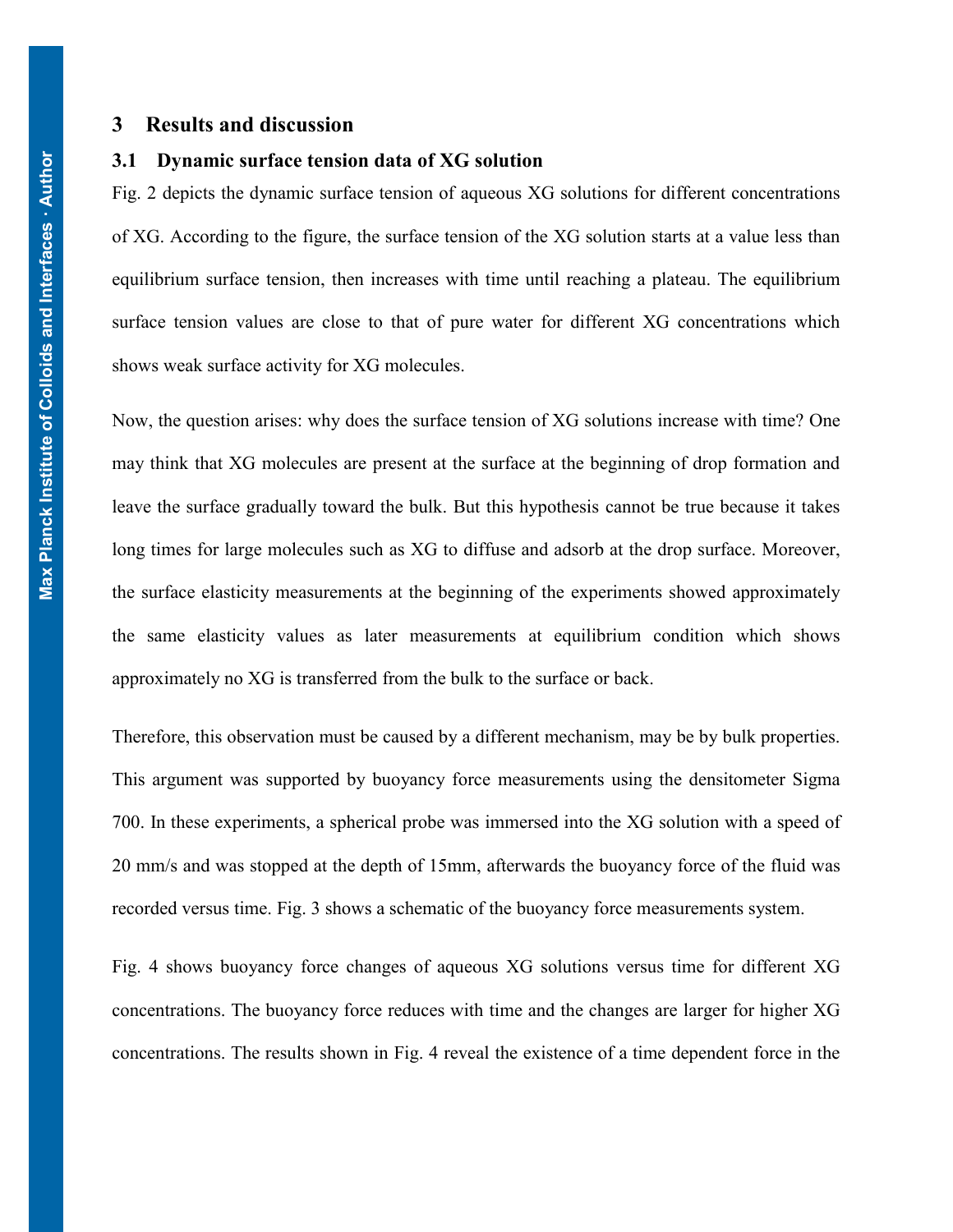#### **3 Results and discussion**

#### **3.1 Dynamic surface tension data of XG solution**

 Fig. 2 depicts the dynamic surface tension of aqueous XG solutions for different concentrations of XG. According to the figure, the surface tension of the XG solution starts at a value less than equilibrium surface tension, then increases with time until reaching a plateau. The equilibrium surface tension values are close to that of pure water for different XG concentrations which shows weak surface activity for XG molecules.

Now, the question arises: why does the surface tension of XG solutions increase with time? One may think that XG molecules are present at the surface at the beginning of drop formation and leave the surface gradually toward the bulk. But this hypothesis cannot be true because it takes long times for large molecules such as XG to diffuse and adsorb at the drop surface. Moreover, the surface elasticity measurements at the beginning of the experiments showed approximately the same elasticity values as later measurements at equilibrium condition which shows approximately no XG is transferred from the bulk to the surface or back.

Therefore, this observation must be caused by a different mechanism, may be by bulk properties. This argument was supported by buoyancy force measurements using the densitometer Sigma 700. In these experiments, a spherical probe was immersed into the XG solution with a speed of 20 mm/s and was stopped at the depth of 15mm, afterwards the buoyancy force of the fluid was recorded versus time. [Fig. 3](#page-7-0) shows a schematic of the buoyancy force measurements system.

Fig. 4 shows buoyancy force changes of aqueous XG solutions versus time for different XG concentrations. The buoyancy force reduces with time and the changes are larger for higher XG concentrations. The results shown in Fig. 4 reveal the existence of a time dependent force in the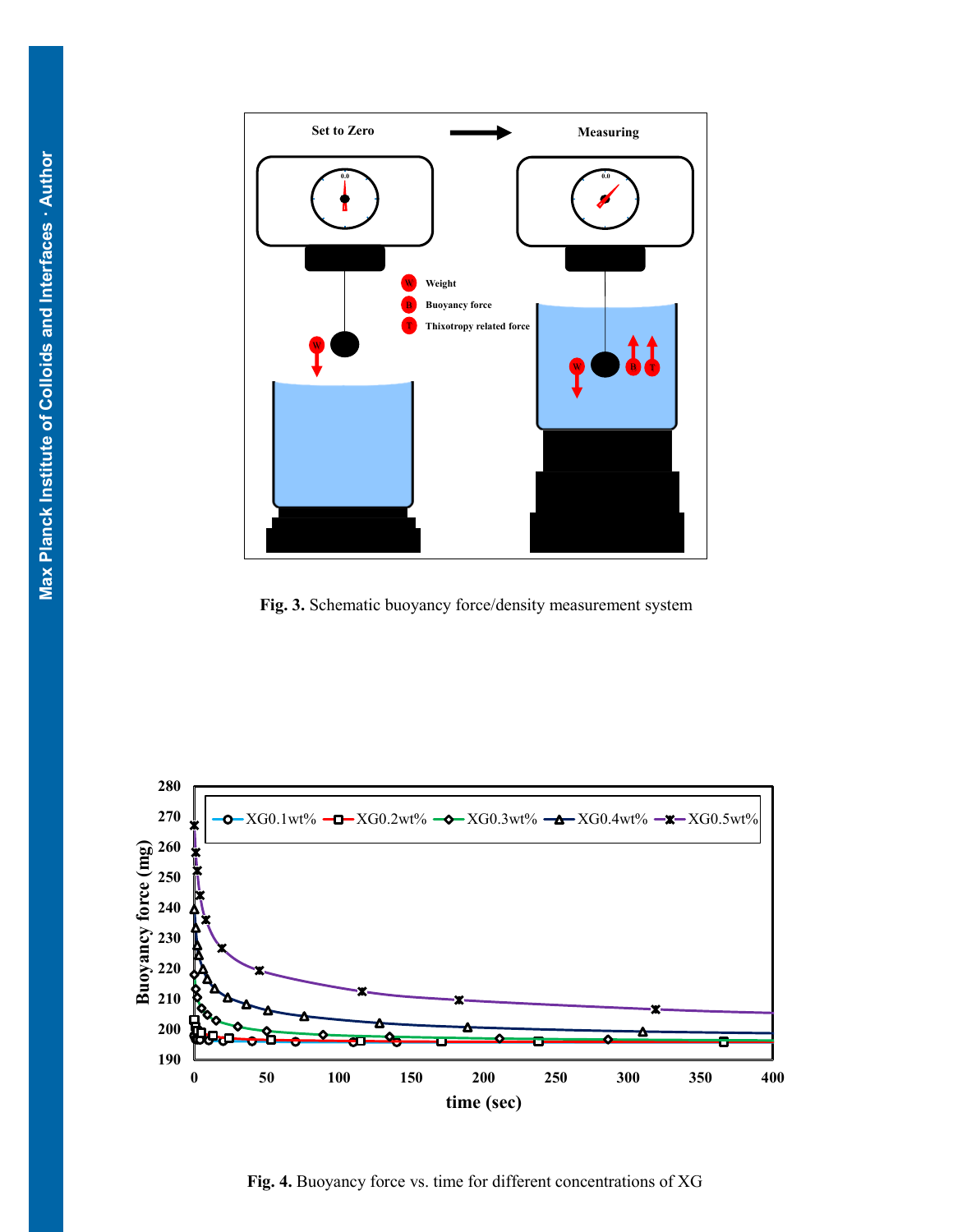

<span id="page-7-0"></span>**Fig. 3.** Schematic buoyancy force/density measurement system



**Fig. 4.** Buoyancy force vs. time for different concentrations of XG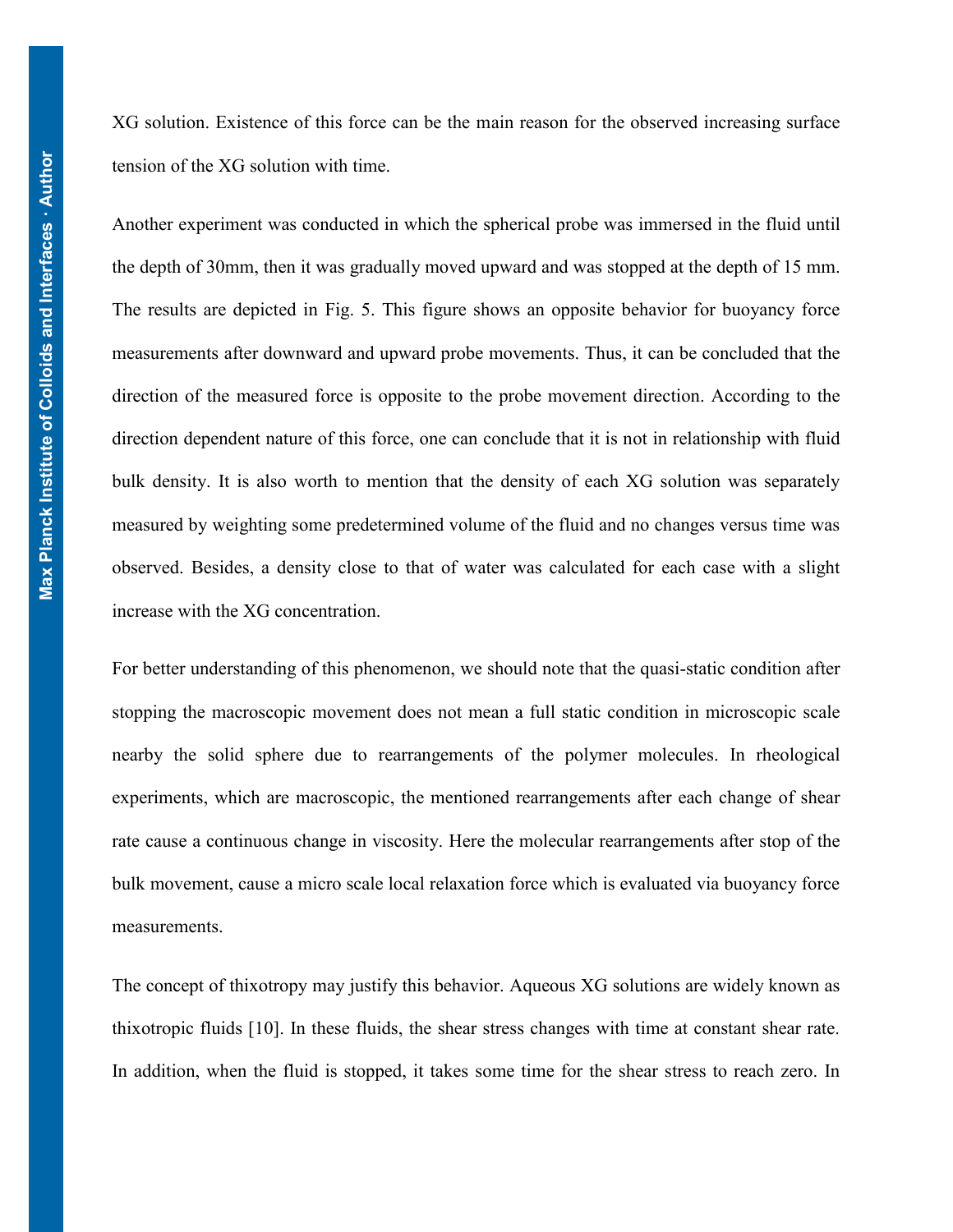XG solution. Existence of this force can be the main reason for the observed increasing surface tension of the XG solution with time.

Another experiment was conducted in which the spherical probe was immersed in the fluid until the depth of 30mm, then it was gradually moved upward and was stopped at the depth of 15 mm. The results are depicted in [Fig. 5.](#page-9-0) This figure shows an opposite behavior for buoyancy force measurements after downward and upward probe movements. Thus, it can be concluded that the direction of the measured force is opposite to the probe movement direction. According to the direction dependent nature of this force, one can conclude that it is not in relationship with fluid bulk density. It is also worth to mention that the density of each XG solution was separately measured by weighting some predetermined volume of the fluid and no changes versus time was observed. Besides, a density close to that of water was calculated for each case with a slight increase with the XG concentration.

For better understanding of this phenomenon, we should note that the quasi-static condition after stopping the macroscopic movement does not mean a full static condition in microscopic scale nearby the solid sphere due to rearrangements of the polymer molecules. In rheological experiments, which are macroscopic, the mentioned rearrangements after each change of shear rate cause a continuous change in viscosity. Here the molecular rearrangements after stop of the bulk movement, cause a micro scale local relaxation force which is evaluated via buoyancy force measurements.

The concept of thixotropy may justify this behavior. Aqueous XG solutions are widely known as thixotropic fluids [10]. In these fluids, the shear stress changes with time at constant shear rate. In addition, when the fluid is stopped, it takes some time for the shear stress to reach zero. In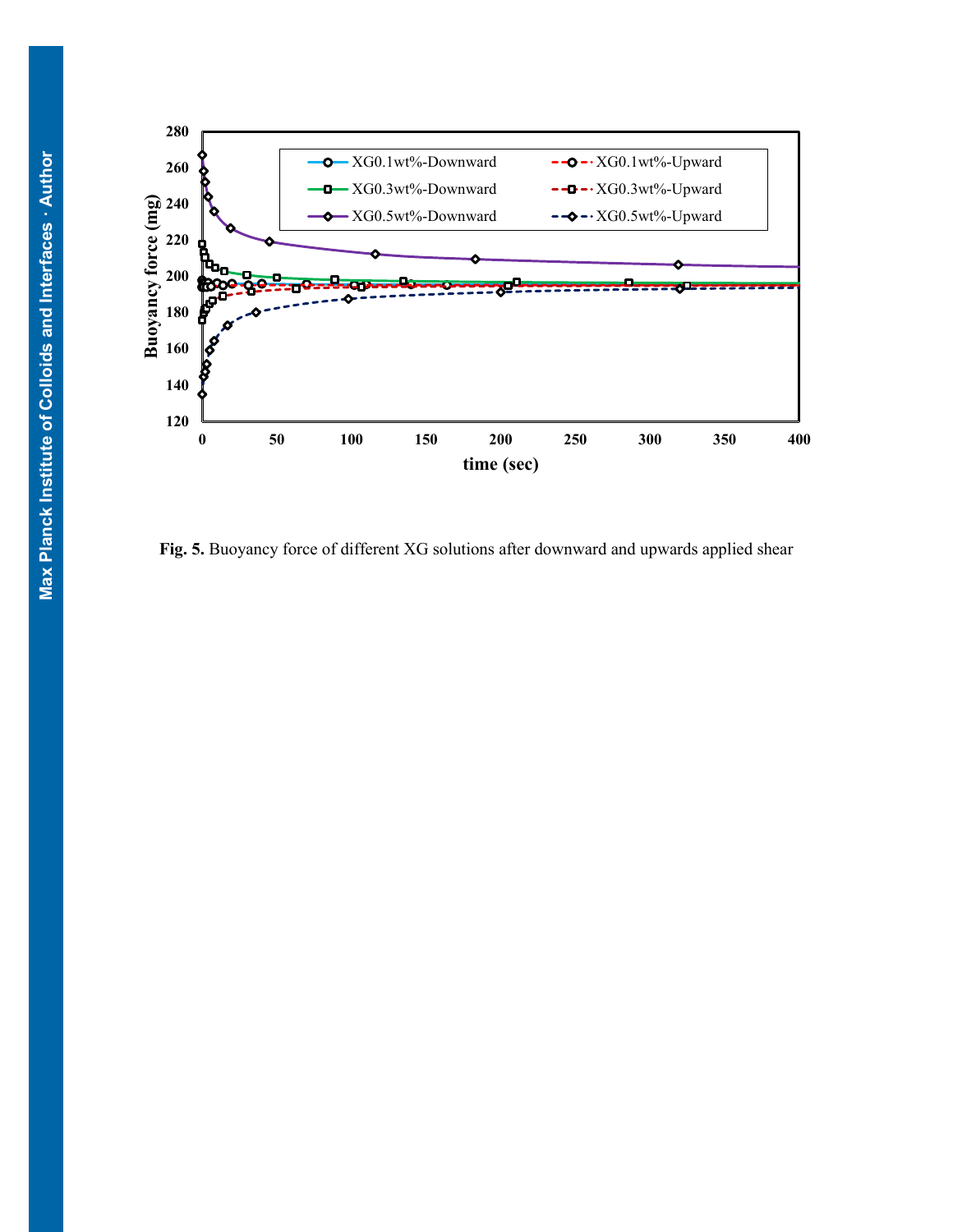

<span id="page-9-0"></span>**Fig. 5.** Buoyancy force of different XG solutions after downward and upwards applied shear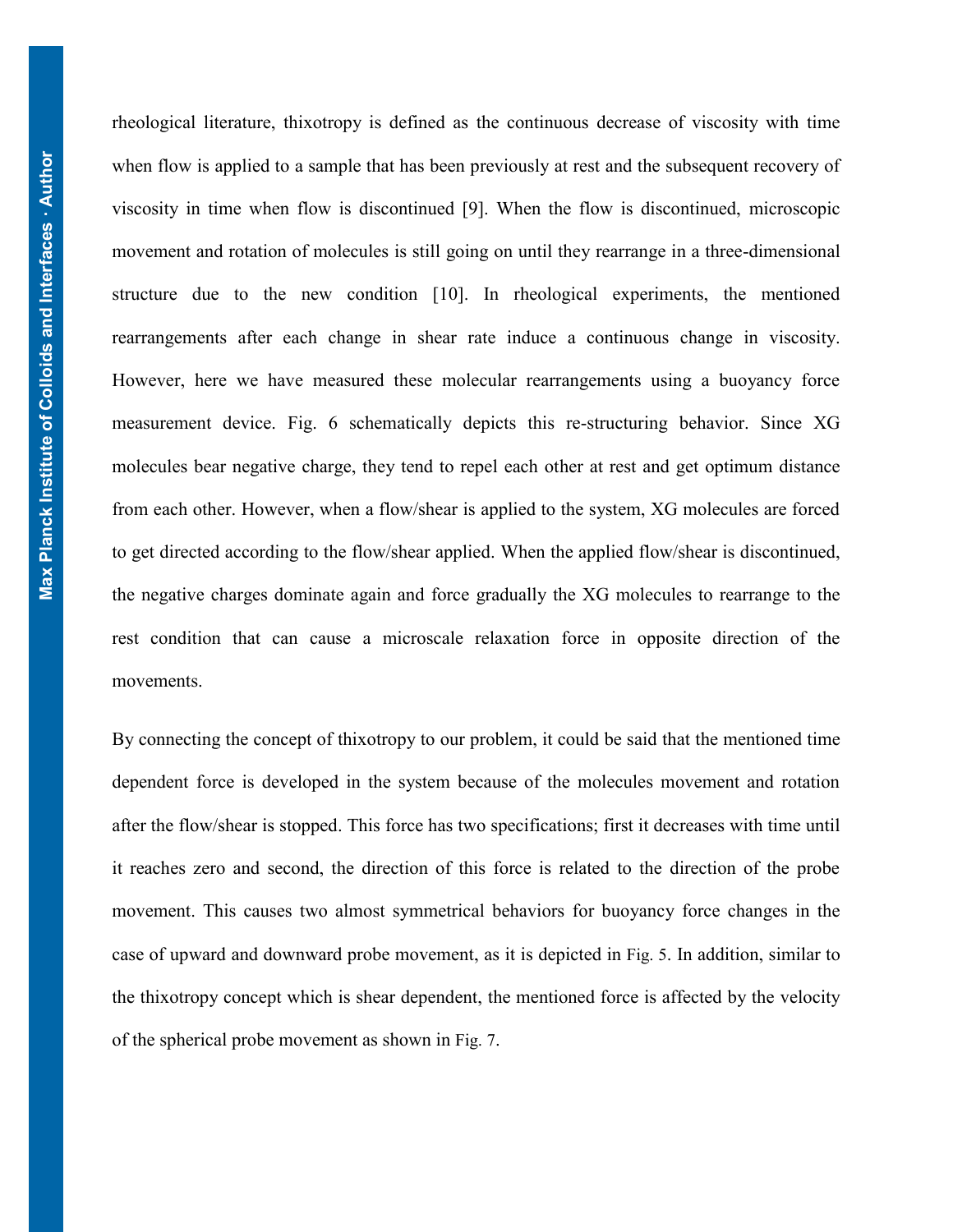rheological literature, thixotropy is defined as the continuous decrease of viscosity with time when flow is applied to a sample that has been previously at rest and the subsequent recovery of viscosity in time when flow is discontinued [9]. When the flow is discontinued, microscopic movement and rotation of molecules is still going on until they rearrange in a three-dimensional structure due to the new condition [10]. In rheological experiments, the mentioned rearrangements after each change in shear rate induce a continuous change in viscosity. However, here we have measured these molecular rearrangements using a buoyancy force measurement device. Fig. 6 schematically depicts this re-structuring behavior. Since XG molecules bear negative charge, they tend to repel each other at rest and get optimum distance from each other. However, when a flow/shear is applied to the system, XG molecules are forced to get directed according to the flow/shear applied. When the applied flow/shear is discontinued, the negative charges dominate again and force gradually the XG molecules to rearrange to the rest condition that can cause a microscale relaxation force in opposite direction of the movements.

By connecting the concept of thixotropy to our problem, it could be said that the mentioned time dependent force is developed in the system because of the molecules movement and rotation after the flow/shear is stopped. This force has two specifications; first it decreases with time until it reaches zero and second, the direction of this force is related to the direction of the probe movement. This causes two almost symmetrical behaviors for buoyancy force changes in the case of upward and downward probe movement, as it is depicted in [Fig. 5](#page-9-0). In addition, similar to the thixotropy concept which is shear dependent, the mentioned force is affected by the velocity of the spherical probe movement as shown in Fig. 7.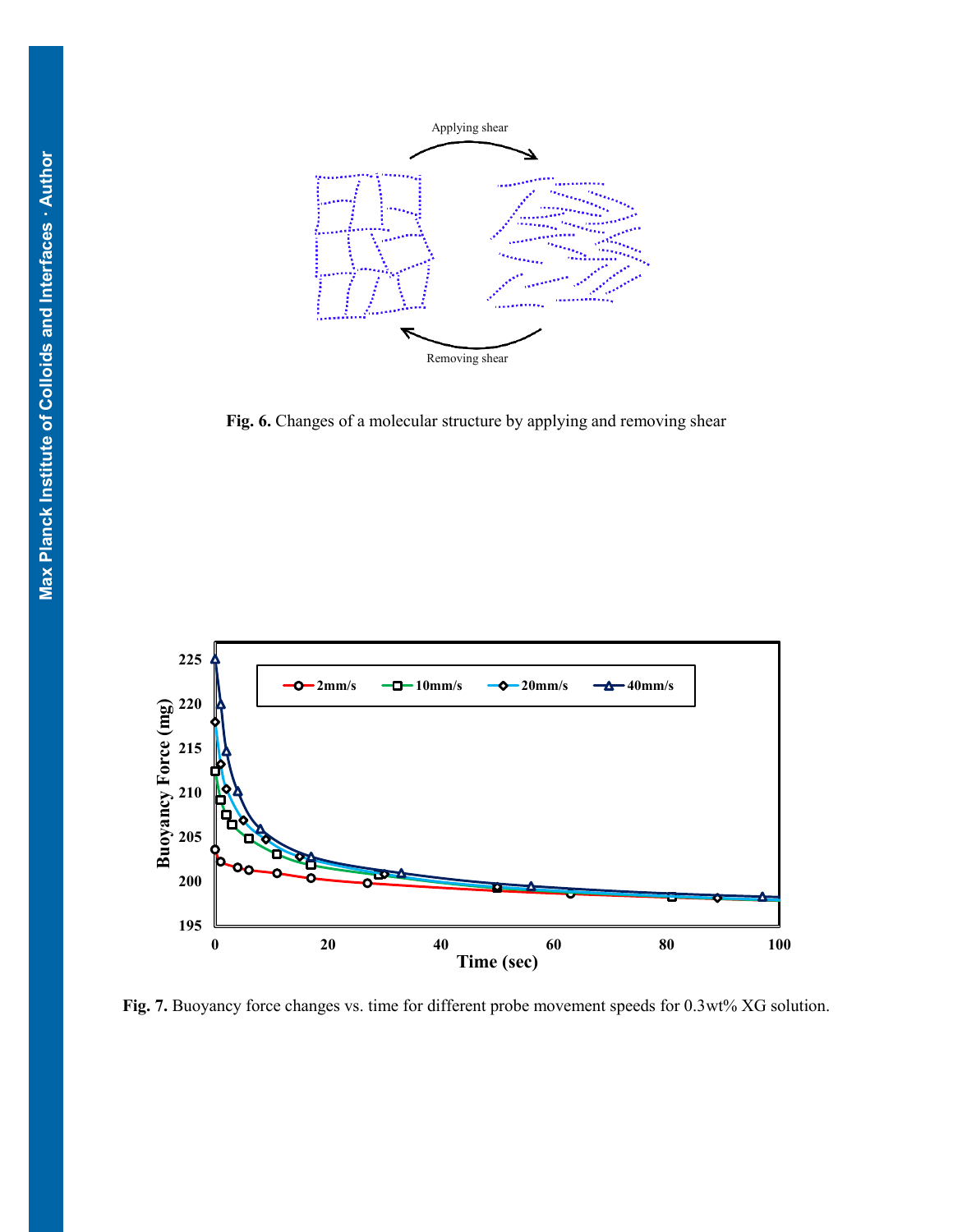

**Fig. 6.** Changes of a molecular structure by applying and removing shear



**Fig. 7.** Buoyancy force changes vs. time for different probe movement speeds for 0.3wt% XG solution.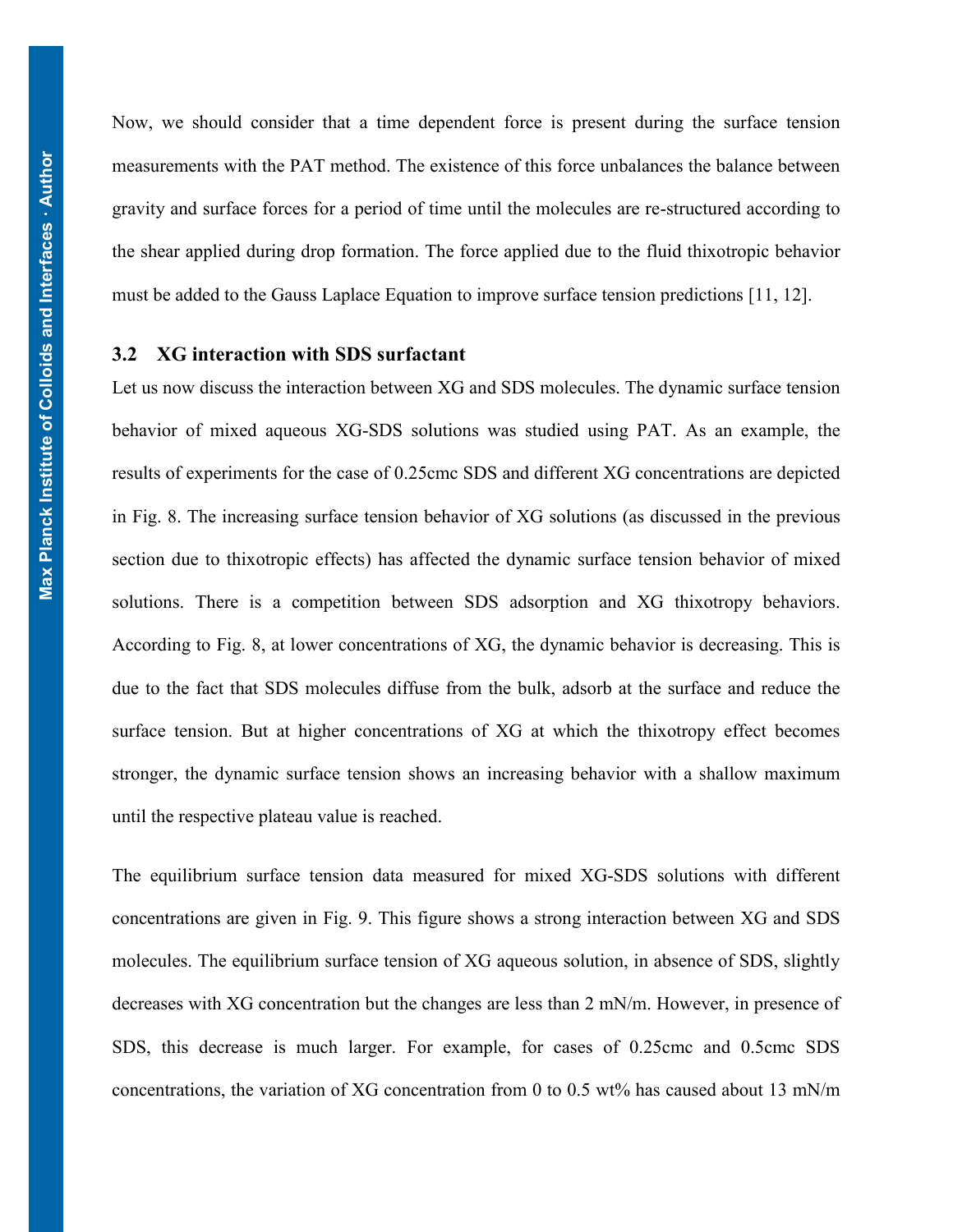Now, we should consider that a time dependent force is present during the surface tension measurements with the PAT method. The existence of this force unbalances the balance between gravity and surface forces for a period of time until the molecules are re-structured according to the shear applied during drop formation. The force applied due to the fluid thixotropic behavior must be added to the Gauss Laplace Equation to improve surface tension predictions [11, 12].

# **3.2 XG interaction with SDS surfactant**

Let us now discuss the interaction between XG and SDS molecules. The dynamic surface tension behavior of mixed aqueous XG-SDS solutions was studied using PAT. As an example, the results of experiments for the case of 0.25cmc SDS and different XG concentrations are depicted in [Fig. 8.](#page-13-0) The increasing surface tension behavior of XG solutions (as discussed in the previous section due to thixotropic effects) has affected the dynamic surface tension behavior of mixed solutions. There is a competition between SDS adsorption and XG thixotropy behaviors. According to [Fig. 8,](#page-13-0) at lower concentrations of XG, the dynamic behavior is decreasing. This is due to the fact that SDS molecules diffuse from the bulk, adsorb at the surface and reduce the surface tension. But at higher concentrations of XG at which the thixotropy effect becomes stronger, the dynamic surface tension shows an increasing behavior with a shallow maximum until the respective plateau value is reached.

The equilibrium surface tension data measured for mixed XG-SDS solutions with different concentrations are given in Fig. 9. This figure shows a strong interaction between XG and SDS molecules. The equilibrium surface tension of XG aqueous solution, in absence of SDS, slightly decreases with XG concentration but the changes are less than 2 mN/m. However, in presence of SDS, this decrease is much larger. For example, for cases of 0.25cmc and 0.5cmc SDS concentrations, the variation of XG concentration from 0 to 0.5 wt% has caused about 13 mN/m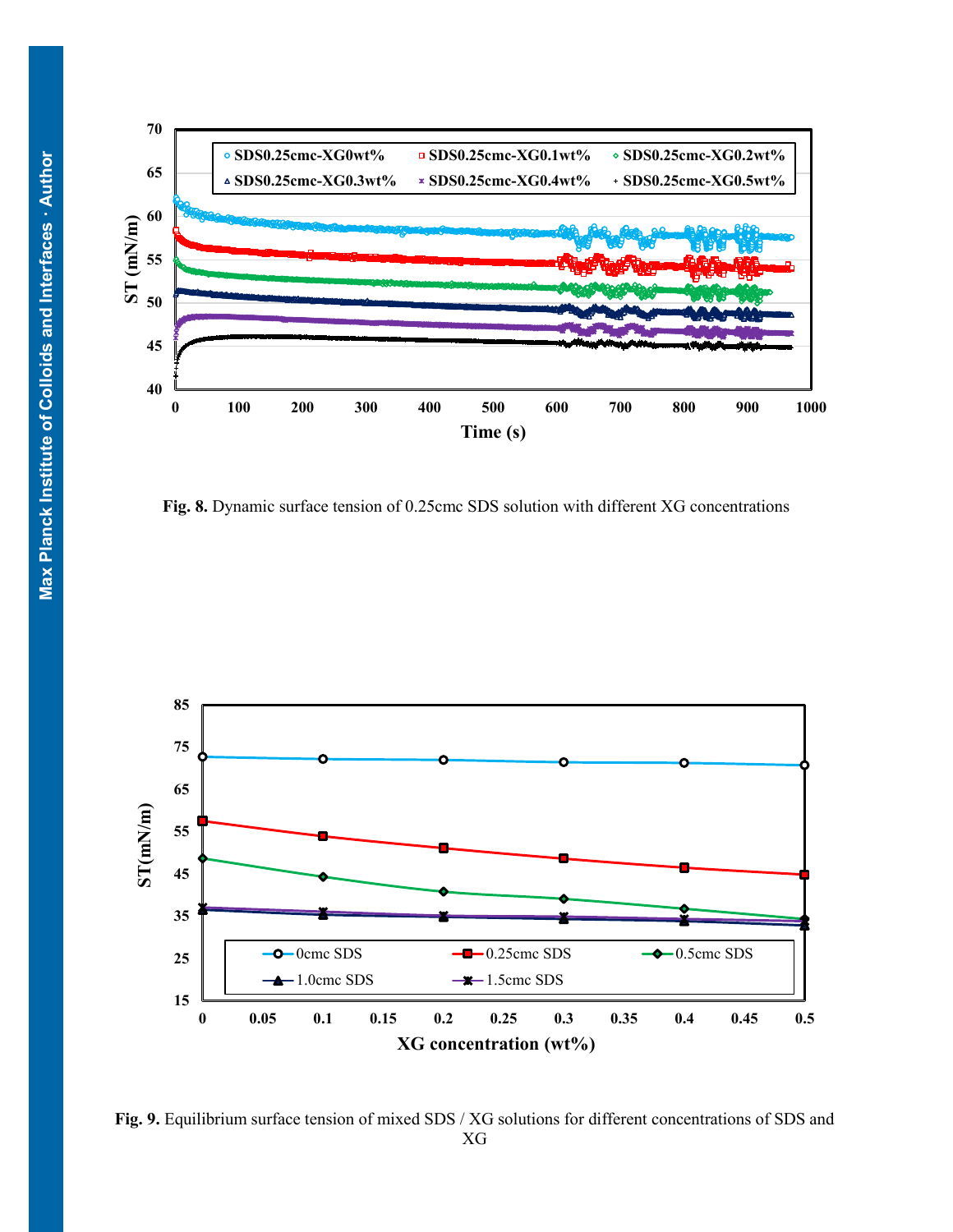

<span id="page-13-0"></span>**Fig. 8.** Dynamic surface tension of 0.25cmc SDS solution with different XG concentrations



**Fig. 9.** Equilibrium surface tension of mixed SDS / XG solutions for different concentrations of SDS and XG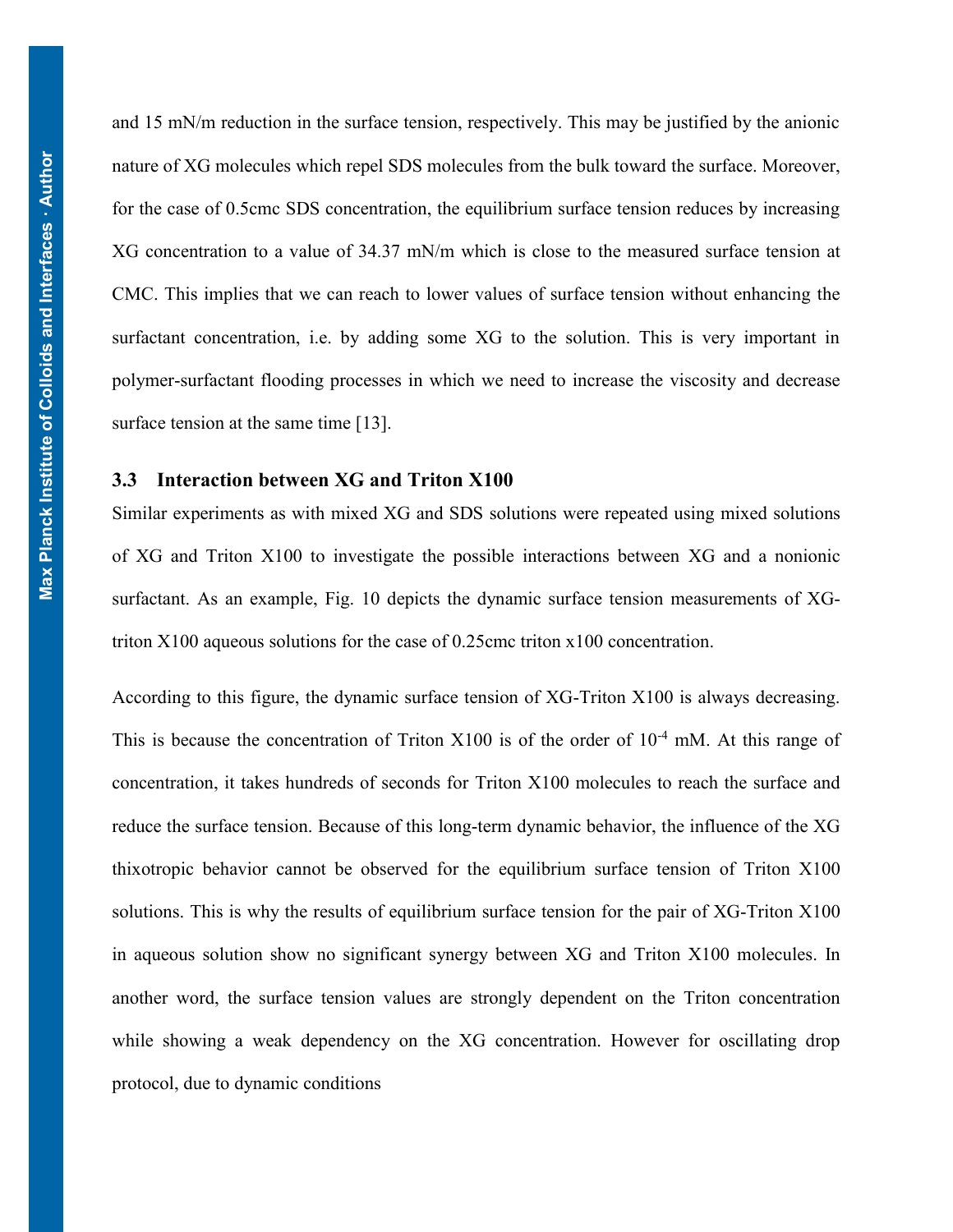and 15 mN/m reduction in the surface tension, respectively. This may be justified by the anionic nature of XG molecules which repel SDS molecules from the bulk toward the surface. Moreover, for the case of 0.5cmc SDS concentration, the equilibrium surface tension reduces by increasing XG concentration to a value of 34.37 mN/m which is close to the measured surface tension at CMC. This implies that we can reach to lower values of surface tension without enhancing the surfactant concentration, i.e. by adding some XG to the solution. This is very important in polymer-surfactant flooding processes in which we need to increase the viscosity and decrease surface tension at the same time [\[13\]](#page-21-6).

#### **3.3 Interaction between XG and Triton X100**

Similar experiments as with mixed XG and SDS solutions were repeated using mixed solutions of XG and Triton X100 to investigate the possible interactions between XG and a nonionic surfactant. As an example, Fig. 10 depicts the dynamic surface tension measurements of XGtriton X100 aqueous solutions for the case of 0.25cmc triton x100 concentration.

According to this figure, the dynamic surface tension of XG-Triton X100 is always decreasing. This is because the concentration of Triton X100 is of the order of  $10^{-4}$  mM. At this range of concentration, it takes hundreds of seconds for Triton X100 molecules to reach the surface and reduce the surface tension. Because of this long-term dynamic behavior, the influence of the XG thixotropic behavior cannot be observed for the equilibrium surface tension of Triton X100 solutions. This is why the results of equilibrium surface tension for the pair of XG-Triton X100 in aqueous solution show no significant synergy between XG and Triton X100 molecules. In another word, the surface tension values are strongly dependent on the Triton concentration while showing a weak dependency on the XG concentration. However for oscillating drop protocol, due to dynamic conditions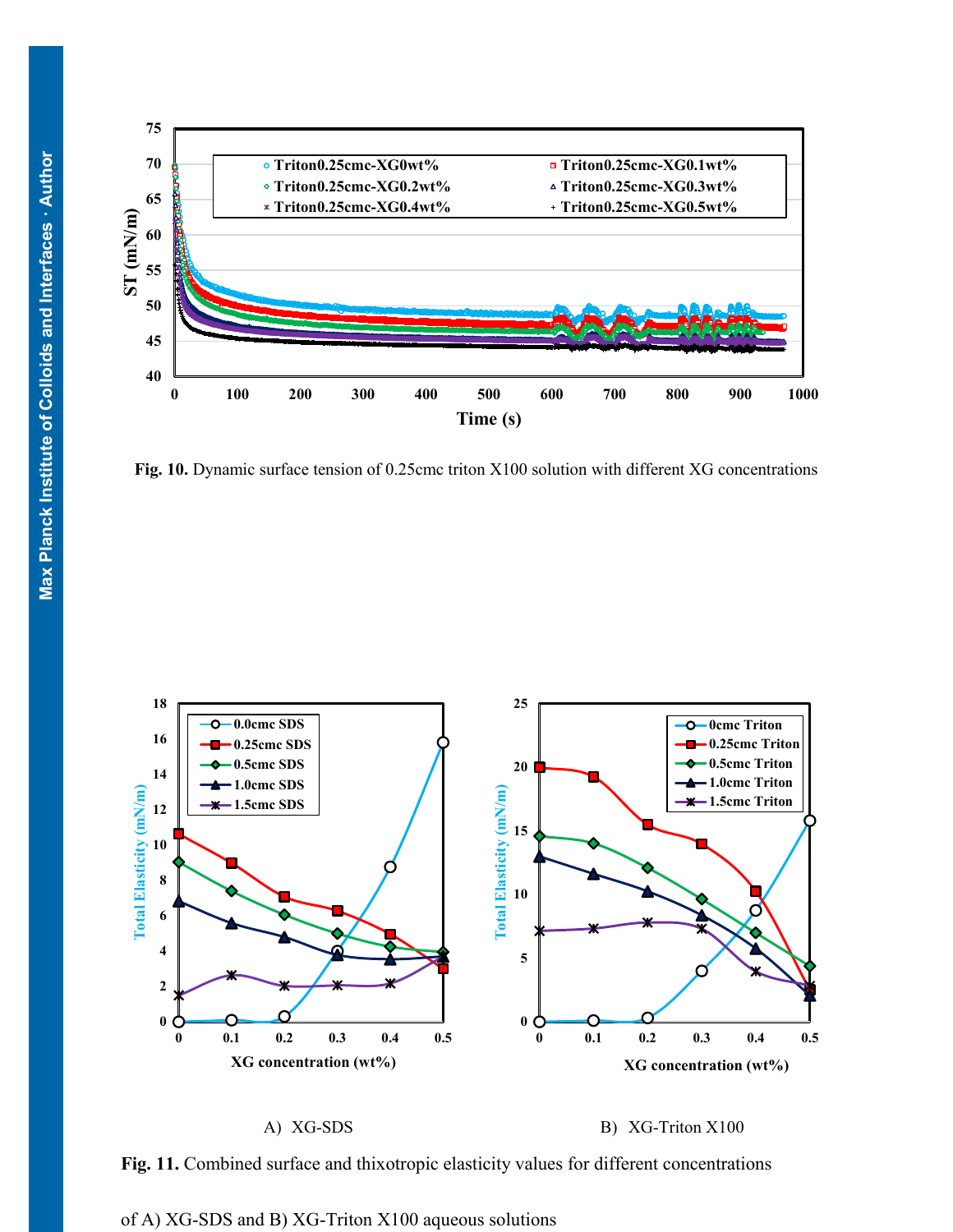

**Fig. 10.** Dynamic surface tension of 0.25cmc triton X100 solution with different XG concentrations



A) XG-SDS B) XG-Triton X100

**Fig. 11.** Combined surface and thixotropic elasticity values for different concentrations

of A) XG-SDS and B) XG-Triton X100 aqueous solutions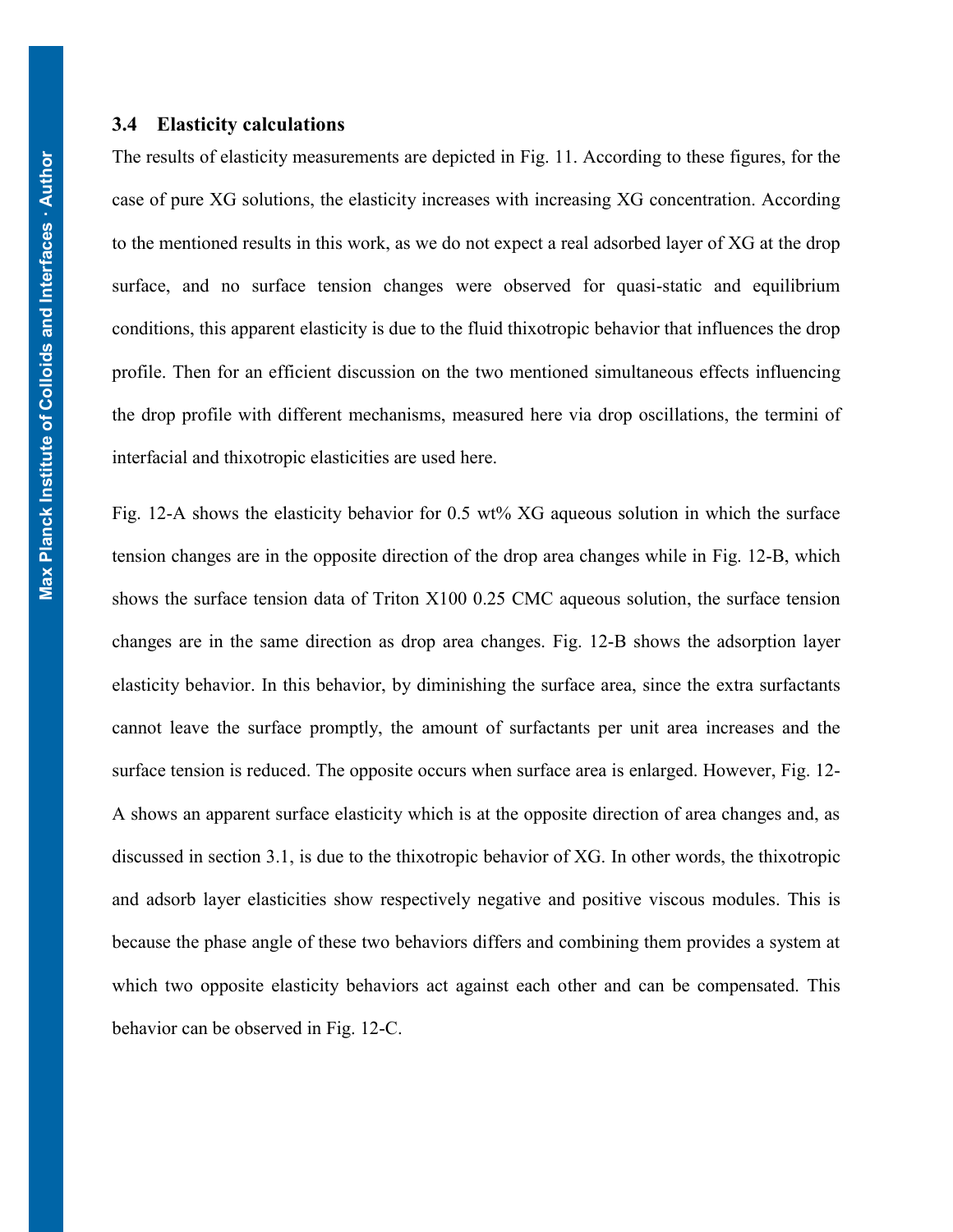#### **3.4 Elasticity calculations**

The results of elasticity measurements are depicted in Fig. 11. According to these figures, for the case of pure XG solutions, the elasticity increases with increasing XG concentration. According to the mentioned results in this work, as we do not expect a real adsorbed layer of XG at the drop surface, and no surface tension changes were observed for quasi-static and equilibrium conditions, this apparent elasticity is due to the fluid thixotropic behavior that influences the drop profile. Then for an efficient discussion on the two mentioned simultaneous effects influencing the drop profile with different mechanisms, measured here via drop oscillations, the termini of interfacial and thixotropic elasticities are used here.

[Fig. 12-](#page-17-0)A shows the elasticity behavior for 0.5 wt% XG aqueous solution in which the surface tension changes are in the opposite direction of the drop area changes while in [Fig. 12-](#page-17-0)B, which shows the surface tension data of Triton X100 0.25 CMC aqueous solution, the surface tension changes are in the same direction as drop area changes. [Fig. 12-](#page-17-0)B shows the adsorption layer elasticity behavior. In this behavior, by diminishing the surface area, since the extra surfactants cannot leave the surface promptly, the amount of surfactants per unit area increases and the surface tension is reduced. The opposite occurs when surface area is enlarged. However, [Fig. 12-](#page-17-0) A shows an apparent surface elasticity which is at the opposite direction of area changes and, as discussed in section 3.1, is due to the thixotropic behavior of XG. In other words, the thixotropic and adsorb layer elasticities show respectively negative and positive viscous modules. This is because the phase angle of these two behaviors differs and combining them provides a system at which two opposite elasticity behaviors act against each other and can be compensated. This behavior can be observed in [Fig. 12-](#page-17-0)C.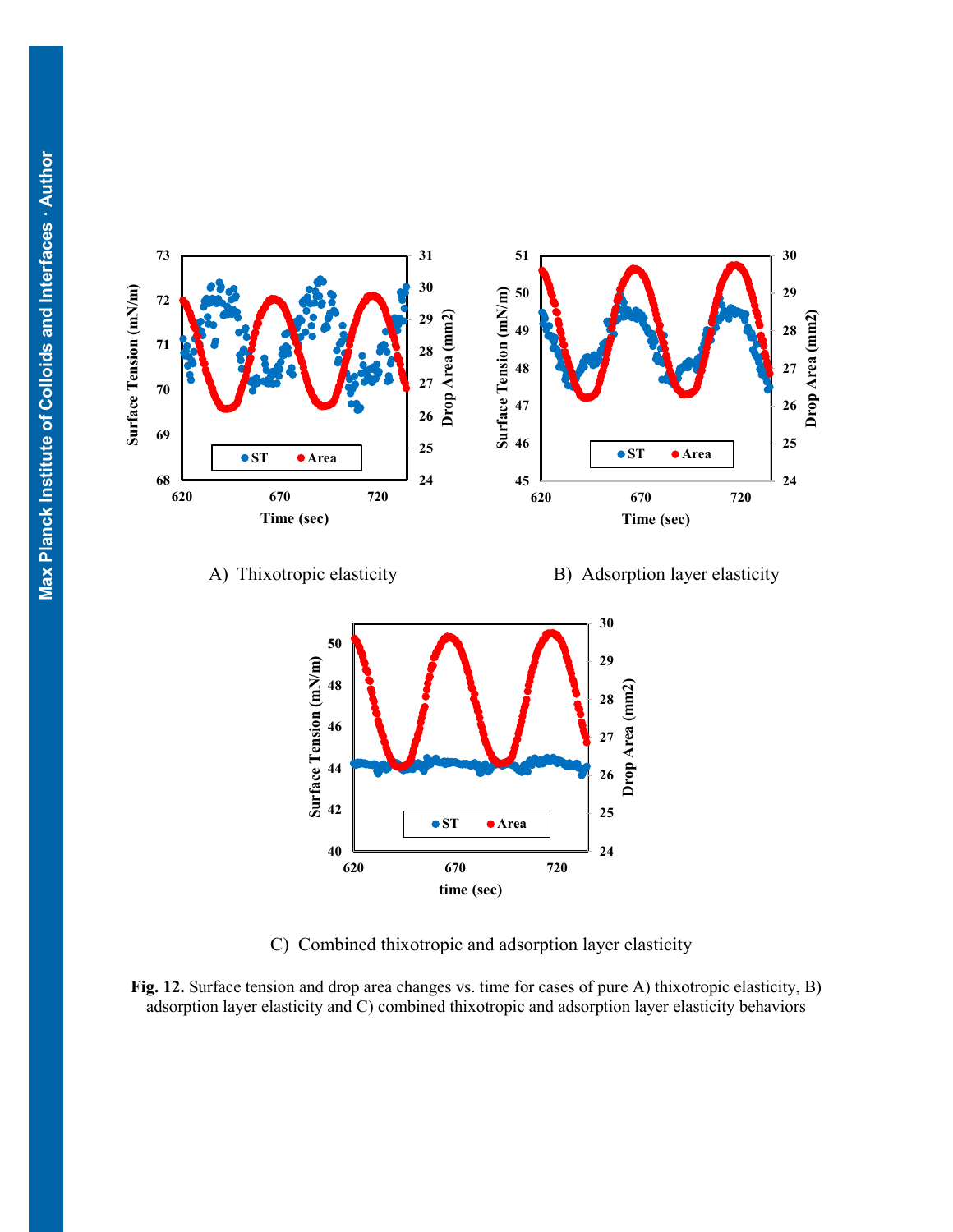



**time (sec)**

**ST Area**

**670 720**

<br> $620$ 

<span id="page-17-0"></span>**Fig. 12.** Surface tension and drop area changes vs. time for cases of pure A) thixotropic elasticity, B) adsorption layer elasticity and C) combined thixotropic and adsorption layer elasticity behaviors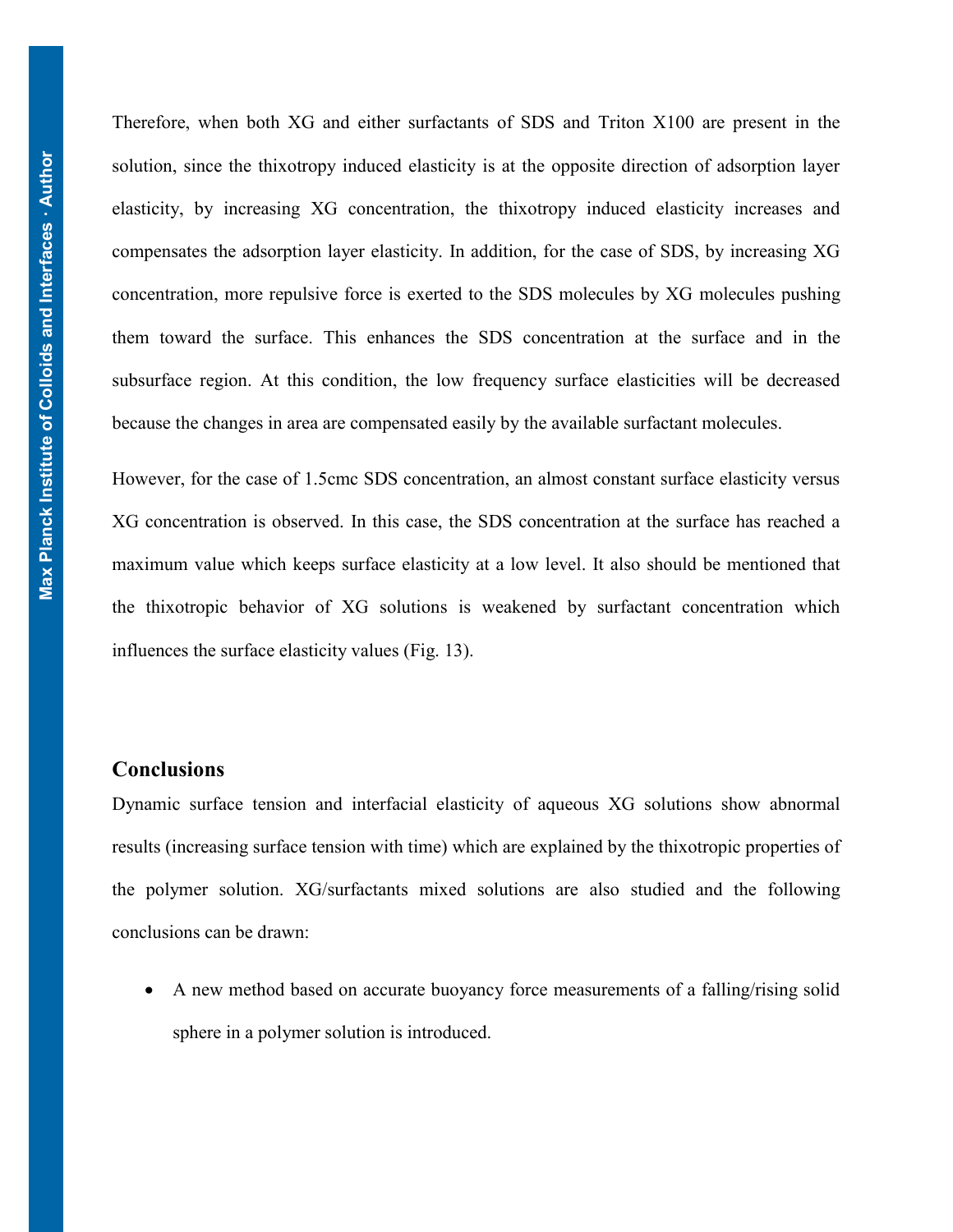Therefore, when both XG and either surfactants of SDS and Triton X100 are present in the solution, since the thixotropy induced elasticity is at the opposite direction of adsorption layer elasticity, by increasing XG concentration, the thixotropy induced elasticity increases and compensates the adsorption layer elasticity. In addition, for the case of SDS, by increasing XG concentration, more repulsive force is exerted to the SDS molecules by XG molecules pushing them toward the surface. This enhances the SDS concentration at the surface and in the subsurface region. At this condition, the low frequency surface elasticities will be decreased because the changes in area are compensated easily by the available surfactant molecules.

However, for the case of 1.5cmc SDS concentration, an almost constant surface elasticity versus XG concentration is observed. In this case, the SDS concentration at the surface has reached a maximum value which keeps surface elasticity at a low level. It also should be mentioned that the thixotropic behavior of XG solutions is weakened by surfactant concentration which influences the surface elasticity values (Fig. 13).

# **Conclusions**

Dynamic surface tension and interfacial elasticity of aqueous XG solutions show abnormal results (increasing surface tension with time) which are explained by the thixotropic properties of the polymer solution. XG/surfactants mixed solutions are also studied and the following conclusions can be drawn:

 A new method based on accurate buoyancy force measurements of a falling/rising solid sphere in a polymer solution is introduced.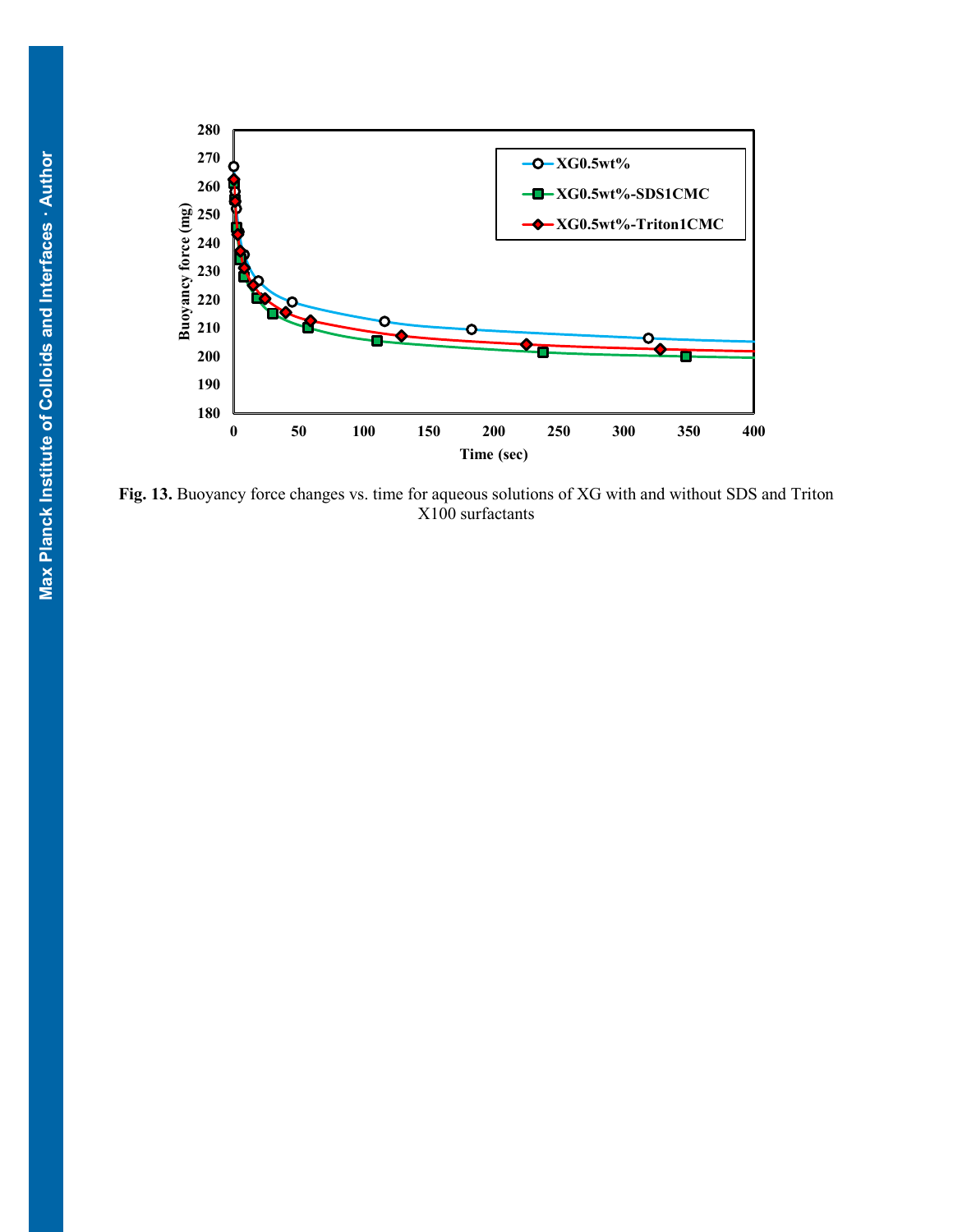

**Fig. 13.** Buoyancy force changes vs. time for aqueous solutions of XG with and without SDS and Triton X100 surfactants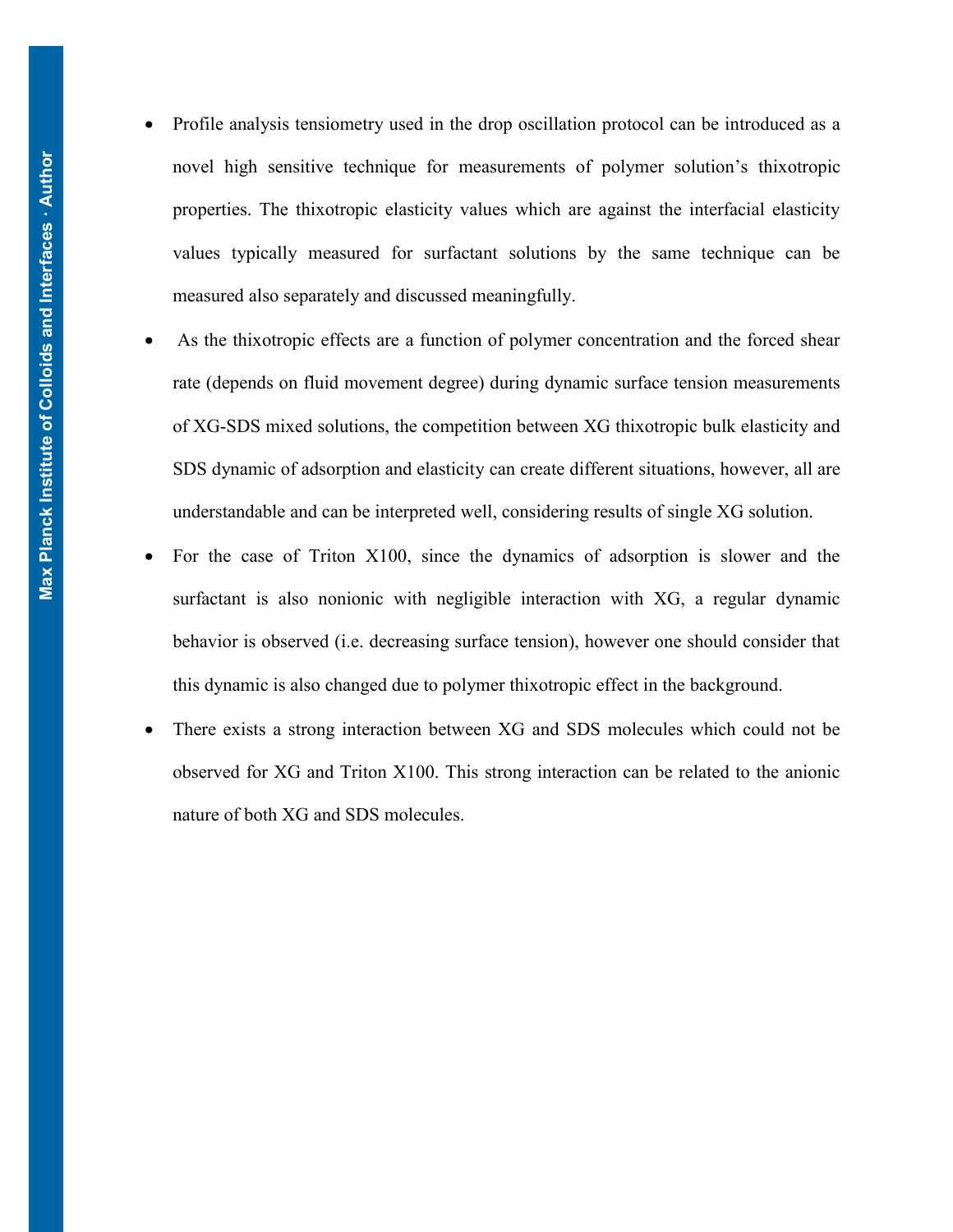- Profile analysis tensiometry used in the drop oscillation protocol can be introduced as a novel high sensitive technique for measurements of polymer solution's thixotropic properties. The thixotropic elasticity values which are against the interfacial elasticity values typically measured for surfactant solutions by the same technique can be measured also separately and discussed meaningfully.
- As the thixotropic effects are a function of polymer concentration and the forced shear rate (depends on fluid movement degree) during dynamic surface tension measurements of XG-SDS mixed solutions, the competition between XG thixotropic bulk elasticity and SDS dynamic of adsorption and elasticity can create different situations, however, all are understandable and can be interpreted well, considering results of single XG solution.
- For the case of Triton X100, since the dynamics of adsorption is slower and the surfactant is also nonionic with negligible interaction with XG, a regular dynamic behavior is observed (i.e. decreasing surface tension), however one should consider that this dynamic is also changed due to polymer thixotropic effect in the background.
- There exists a strong interaction between XG and SDS molecules which could not be observed for XG and Triton X100. This strong interaction can be related to the anionic nature of both XG and SDS molecules.